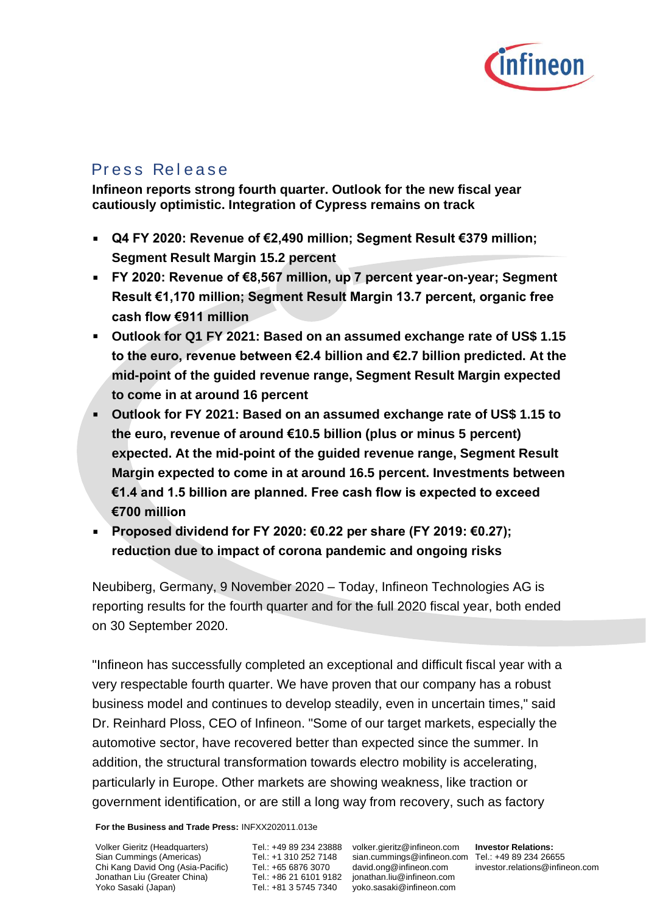

# Press Release

**Infineon reports strong fourth quarter. Outlook for the new fiscal year cautiously optimistic. Integration of Cypress remains on track**

- **Q4 FY 2020: Revenue of €2,490 million; Segment Result €379 million; Segment Result Margin 15.2 percent**
- **FY 2020: Revenue of €8,567 million, up 7 percent year-on-year; Segment Result €1,170 million; Segment Result Margin 13.7 percent, organic free cash flow €911 million**
- **Outlook for Q1 FY 2021: Based on an assumed exchange rate of US\$ 1.15 to the euro, revenue between €2.4 billion and €2.7 billion predicted. At the mid-point of the guided revenue range, Segment Result Margin expected to come in at around 16 percent**
- **Outlook for FY 2021: Based on an assumed exchange rate of US\$ 1.15 to the euro, revenue of around €10.5 billion (plus or minus 5 percent) expected. At the mid-point of the guided revenue range, Segment Result Margin expected to come in at around 16.5 percent. Investments between €1.4 and 1.5 billion are planned. Free cash flow is expected to exceed €700 million**
- **Proposed dividend for FY 2020: €0.22 per share (FY 2019: €0.27);**   $\blacksquare$ **reduction due to impact of corona pandemic and ongoing risks**

Neubiberg, Germany, 9 November 2020 – Today, Infineon Technologies AG is reporting results for the fourth quarter and for the full 2020 fiscal year, both ended on 30 September 2020.

"Infineon has successfully completed an exceptional and difficult fiscal year with a very respectable fourth quarter. We have proven that our company has a robust business model and continues to develop steadily, even in uncertain times," said Dr. Reinhard Ploss, CEO of Infineon. "Some of our target markets, especially the automotive sector, have recovered better than expected since the summer. In addition, the structural transformation towards electro mobility is accelerating, particularly in Europe. Other markets are showing weakness, like traction or government identification, or are still a long way from recovery, such as factory

**For the Business and Trade Press:** INFXX202011.013e

Volker Gieritz (Headquarters) Sian Cummings (Americas) Chi Kang David Ong (Asia-Pacific) Jonathan Liu (Greater China) Yoko Sasaki (Japan)

Tel.: +1 310 252 7148 Tel.: +65 6876 3070 Tel.: +81 3 5745 7340

Tel.: +49 89 234 23888 volker.gieritz@infineon.com Tel.: +86 21 6101 9182 jonathan.liu@infineon.com sian.cummings@infineon.com Tel.: +49 89 234 26655 [david.ong@infineon.com](mailto:%0ddavid.ong@infineon.com) yoko.sasaki@infineon.com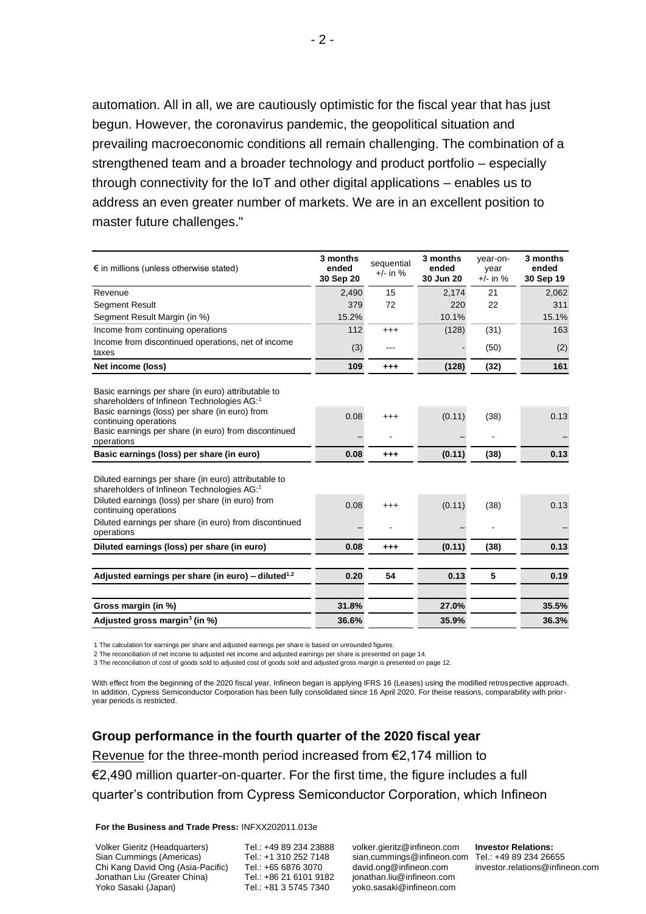automation. All in all, we are cautiously optimistic for the fiscal year that has just begun. However, the coronavirus pandemic, the geopolitical situation and prevailing macroeconomic conditions all remain challenging. The combination of a strengthened team and a broader technology and product portfolio – especially through connectivity for the IoT and other digital applications – enables us to address an even greater number of markets. We are in an excellent position to master future challenges."

| $\epsilon$ in millions (unless otherwise stated)                                                                                                                                                                                                                    | 3 months<br>ended<br>30 Sep 20 | sequential<br>$+/-$ in % | 3 months<br>ended<br>30 Jun 20 | year-on-<br>year<br>$+/-$ in % | 3 months<br>ended<br>30 Sep 19 |
|---------------------------------------------------------------------------------------------------------------------------------------------------------------------------------------------------------------------------------------------------------------------|--------------------------------|--------------------------|--------------------------------|--------------------------------|--------------------------------|
| Revenue                                                                                                                                                                                                                                                             | 2,490                          | 15                       | 2,174                          | 21                             | 2,062                          |
| <b>Segment Result</b>                                                                                                                                                                                                                                               | 379                            | 72                       | 220                            | 22                             | 311                            |
| Segment Result Margin (in %)                                                                                                                                                                                                                                        | 15.2%                          |                          | 10.1%                          |                                | 15.1%                          |
| Income from continuing operations                                                                                                                                                                                                                                   | 112                            | $^{+++}$                 | (128)                          | (31)                           | 163                            |
| Income from discontinued operations, net of income<br>taxes                                                                                                                                                                                                         | (3)                            | ---                      |                                | (50)                           | (2)                            |
| Net income (loss)                                                                                                                                                                                                                                                   | 109                            | $^{+++}$                 | (128)                          | (32)                           | 161                            |
| Basic earnings per share (in euro) attributable to<br>shareholders of Infineon Technologies AG:1<br>Basic earnings (loss) per share (in euro) from<br>continuing operations<br>Basic earnings per share (in euro) from discontinued<br>operations                   | 0.08                           | $^{+++}$                 | (0.11)                         | (38)                           | 0.13                           |
| Basic earnings (loss) per share (in euro)                                                                                                                                                                                                                           | 0.08                           | $^{+++}$                 | (0.11)                         | (38)                           | 0.13                           |
| Diluted earnings per share (in euro) attributable to<br>shareholders of Infineon Technologies AG: <sup>1</sup><br>Diluted earnings (loss) per share (in euro) from<br>continuing operations<br>Diluted earnings per share (in euro) from discontinued<br>operations | 0.08                           | $^{+++}$                 | (0.11)                         | (38)                           | 0.13                           |
| Diluted earnings (loss) per share (in euro)                                                                                                                                                                                                                         | 0.08                           | $^{+++}$                 | (0.11)                         | (38)                           | 0.13                           |
| Adjusted earnings per share (in euro) – diluted <sup>1,2</sup>                                                                                                                                                                                                      | 0.20                           | 54                       | 0.13                           | 5                              | 0.19                           |
| Gross margin (in %)                                                                                                                                                                                                                                                 | 31.8%                          |                          | 27.0%                          |                                | 35.5%                          |
| Adjusted gross margin <sup>3</sup> (in %)                                                                                                                                                                                                                           | 36.6%                          |                          | 35.9%                          |                                | 36.3%                          |

1 The calculation for earnings per share and adjusted earnings per share is based on unrounded figures.

2 The reconciliation of net income to adjusted net income and adjusted earnings per share is presented on page 14.

3 The reconciliation of cost of goods sold to adjusted cost of goods sold and adjusted gross margin is presented on page 12.

With effect from the beginning of the 2020 fiscal year, Infineon began is applying IFRS 16 (Leases) using the modified retrospective approach. In addition, Cypress Semiconductor Corporation has been fully consolidated since 16 April 2020. For theise reasons, comparability with prioryear periods is restricted.

**Group performance in the fourth quarter of the 2020 fiscal year** Revenue for the three-month period increased from €2,174 million to €2,490 million quarter-on-quarter. For the first time, the figure includes a full quarter's contribution from Cypress Semiconductor Corporation, which Infineon

**For the Business and Trade Press:** INFXX202011.013e

Volker Gieritz (Headquarters) Sian Cummings (Americas) Chi Kang David Ong (Asia-Pacific) Jonathan Liu (Greater China) Yoko Sasaki (Japan)

Tel.: +49 89 234 23888 Tel.: +1 310 252 7148 Tel.: +65 6876 3070 Tel.: +86 21 6101 9182 Tel.: +81 3 5745 7340

volker.gieritz@infineon.com sian.cummings@infineon.com Tel.: +49 89 234 26655 [david.ong@infineon.com](mailto:%0ddavid.ong@infineon.com) jonathan.liu@infineon.com yoko.sasaki@infineon.com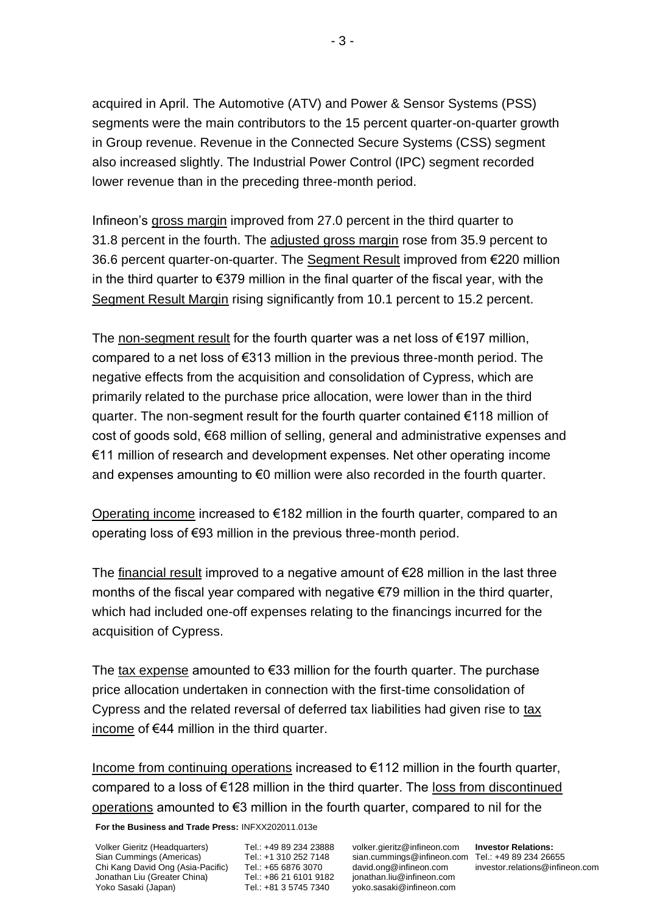acquired in April. The Automotive (ATV) and Power & Sensor Systems (PSS) segments were the main contributors to the 15 percent quarter-on-quarter growth in Group revenue. Revenue in the Connected Secure Systems (CSS) segment also increased slightly. The Industrial Power Control (IPC) segment recorded lower revenue than in the preceding three-month period.

Infineon's gross margin improved from 27.0 percent in the third quarter to 31.8 percent in the fourth. The adjusted gross margin rose from 35.9 percent to 36.6 percent quarter-on-quarter. The Segment Result improved from €220 million in the third quarter to €379 million in the final quarter of the fiscal year, with the Segment Result Margin rising significantly from 10.1 percent to 15.2 percent.

The non-segment result for the fourth quarter was a net loss of  $\epsilon$ 197 million, compared to a net loss of €313 million in the previous three-month period. The negative effects from the acquisition and consolidation of Cypress, which are primarily related to the purchase price allocation, were lower than in the third quarter. The non-segment result for the fourth quarter contained €118 million of cost of goods sold, €68 million of selling, general and administrative expenses and €11 million of research and development expenses. Net other operating income and expenses amounting to  $\epsilon$ 0 million were also recorded in the fourth quarter.

Operating income increased to €182 million in the fourth quarter, compared to an operating loss of €93 million in the previous three-month period.

The financial result improved to a negative amount of  $E$ 28 million in the last three months of the fiscal year compared with negative €79 million in the third quarter, which had included one-off expenses relating to the financings incurred for the acquisition of Cypress.

The tax expense amounted to  $€33$  million for the fourth quarter. The purchase price allocation undertaken in connection with the first-time consolidation of Cypress and the related reversal of deferred tax liabilities had given rise to tax income of €44 million in the third quarter.

Income from continuing operations increased to €112 million in the fourth quarter, compared to a loss of €128 million in the third quarter. The loss from discontinued operations amounted to €3 million in the fourth quarter, compared to nil for the

**For the Business and Trade Press:** INFXX202011.013e

Volker Gieritz (Headquarters) Sian Cummings (Americas) Chi Kang David Ong (Asia-Pacific) Jonathan Liu (Greater China) Yoko Sasaki (Japan)

Tel.: +49 89 234 23888 Tel.: +1 310 252 7148 Tel.: +65 6876 3070 Tel.: +86 21 6101 9182 Tel.: +81 3 5745 7340

volker.gieritz@infineon.com sian.cummings@infineon.com Tel.: +49 89 234 26655 [david.ong@infineon.com](mailto:%0ddavid.ong@infineon.com) jonathan.liu@infineon.com yoko.sasaki@infineon.com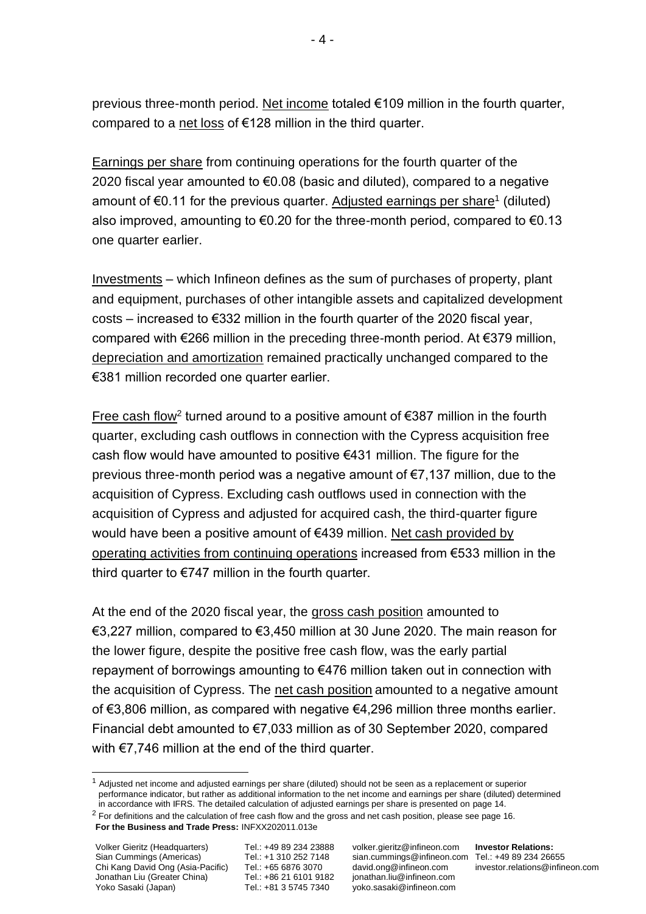previous three-month period. Net income totaled €109 million in the fourth quarter, compared to a net loss of €128 million in the third quarter.

Earnings per share from continuing operations for the fourth quarter of the 2020 fiscal year amounted to  $\epsilon$ 0.08 (basic and diluted), compared to a negative amount of €0.11 for the previous quarter. Adjusted earnings per share<sup>1</sup> (diluted) also improved, amounting to  $\epsilon$ 0.20 for the three-month period, compared to  $\epsilon$ 0.13 one quarter earlier.

Investments – which Infineon defines as the sum of purchases of property, plant and equipment, purchases of other intangible assets and capitalized development costs – increased to €332 million in the fourth quarter of the 2020 fiscal year, compared with €266 million in the preceding three-month period. At €379 million, depreciation and amortization remained practically unchanged compared to the €381 million recorded one quarter earlier.

Free cash flow<sup>2</sup> turned around to a positive amount of  $\epsilon$ 387 million in the fourth quarter, excluding cash outflows in connection with the Cypress acquisition free cash flow would have amounted to positive €431 million. The figure for the previous three-month period was a negative amount of €7,137 million, due to the acquisition of Cypress. Excluding cash outflows used in connection with the acquisition of Cypress and adjusted for acquired cash, the third-quarter figure would have been a positive amount of €439 million. Net cash provided by operating activities from continuing operations increased from €533 million in the third quarter to  $\epsilon$ 747 million in the fourth quarter.

At the end of the 2020 fiscal year, the gross cash position amounted to €3,227 million, compared to €3,450 million at 30 June 2020. The main reason for the lower figure, despite the positive free cash flow, was the early partial repayment of borrowings amounting to €476 million taken out in connection with the acquisition of Cypress. The net cash position amounted to a negative amount of €3,806 million, as compared with negative €4,296 million three months earlier. Financial debt amounted to €7,033 million as of 30 September 2020, compared with €7,746 million at the end of the third quarter.

volker.gieritz@infineon.com sian.cummings@infineon.com Tel.: +49 89 234 26655 [david.ong@infineon.com](mailto:%0ddavid.ong@infineon.com) jonathan.liu@infineon.com yoko.sasaki@infineon.com

 $1$  Adjusted net income and adjusted earnings per share (diluted) should not be seen as a replacement or superior performance indicator, but rather as additional information to the net income and earnings per share (diluted) determined in accordance with IFRS. The detailed calculation of adjusted earnings per share is presented on page 14.

 $2$  For definitions and the calculation of free cash flow and the gross and net cash position, please see page 16.

**For the Business and Trade Press:** INFXX202011.013e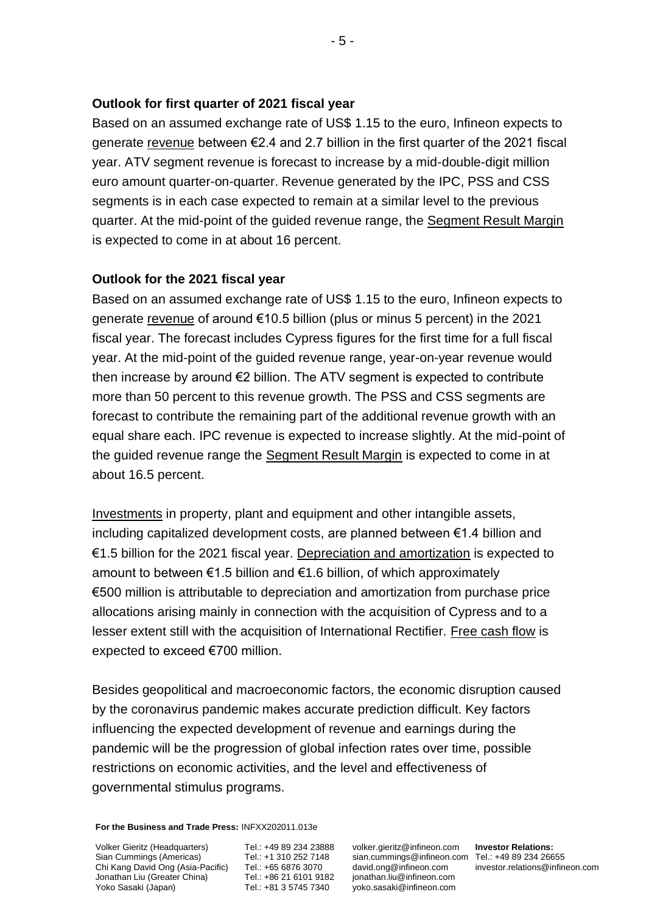## **Outlook for first quarter of 2021 fiscal year**

Based on an assumed exchange rate of US\$ 1.15 to the euro, Infineon expects to generate revenue between  $\epsilon$ 2.4 and 2.7 billion in the first quarter of the 2021 fiscal year. ATV segment revenue is forecast to increase by a mid-double-digit million euro amount quarter-on-quarter. Revenue generated by the IPC, PSS and CSS segments is in each case expected to remain at a similar level to the previous quarter. At the mid-point of the guided revenue range, the Segment Result Margin is expected to come in at about 16 percent.

## **Outlook for the 2021 fiscal year**

Based on an assumed exchange rate of US\$ 1.15 to the euro, Infineon expects to generate revenue of around €10.5 billion (plus or minus 5 percent) in the 2021 fiscal year. The forecast includes Cypress figures for the first time for a full fiscal year. At the mid-point of the guided revenue range, year-on-year revenue would then increase by around €2 billion. The ATV segment is expected to contribute more than 50 percent to this revenue growth. The PSS and CSS segments are forecast to contribute the remaining part of the additional revenue growth with an equal share each. IPC revenue is expected to increase slightly. At the mid-point of the guided revenue range the Segment Result Margin is expected to come in at about 16.5 percent.

Investments in property, plant and equipment and other intangible assets, including capitalized development costs, are planned between €1.4 billion and €1.5 billion for the 2021 fiscal year. Depreciation and amortization is expected to amount to between  $\epsilon$ 1.5 billion and  $\epsilon$ 1.6 billion, of which approximately €500 million is attributable to depreciation and amortization from purchase price allocations arising mainly in connection with the acquisition of Cypress and to a lesser extent still with the acquisition of International Rectifier. Free cash flow is expected to exceed €700 million.

Besides geopolitical and macroeconomic factors, the economic disruption caused by the coronavirus pandemic makes accurate prediction difficult. Key factors influencing the expected development of revenue and earnings during the pandemic will be the progression of global infection rates over time, possible restrictions on economic activities, and the level and effectiveness of governmental stimulus programs.

**For the Business and Trade Press:** INFXX202011.013e

Volker Gieritz (Headquarters) Sian Cummings (Americas) Chi Kang David Ong (Asia-Pacific) Jonathan Liu (Greater China) Yoko Sasaki (Japan)

Tel.: +49 89 234 23888 Tel.: +1 310 252 7148 Tel.: +65 6876 3070 Tel.: +86 21 6101 9182 Tel.: +81 3 5745 7340

volker.gieritz@infineon.com sian.cummings@infineon.com Tel.: +49 89 234 26655 [david.ong@infineon.com](mailto:%0ddavid.ong@infineon.com) jonathan.liu@infineon.com yoko.sasaki@infineon.com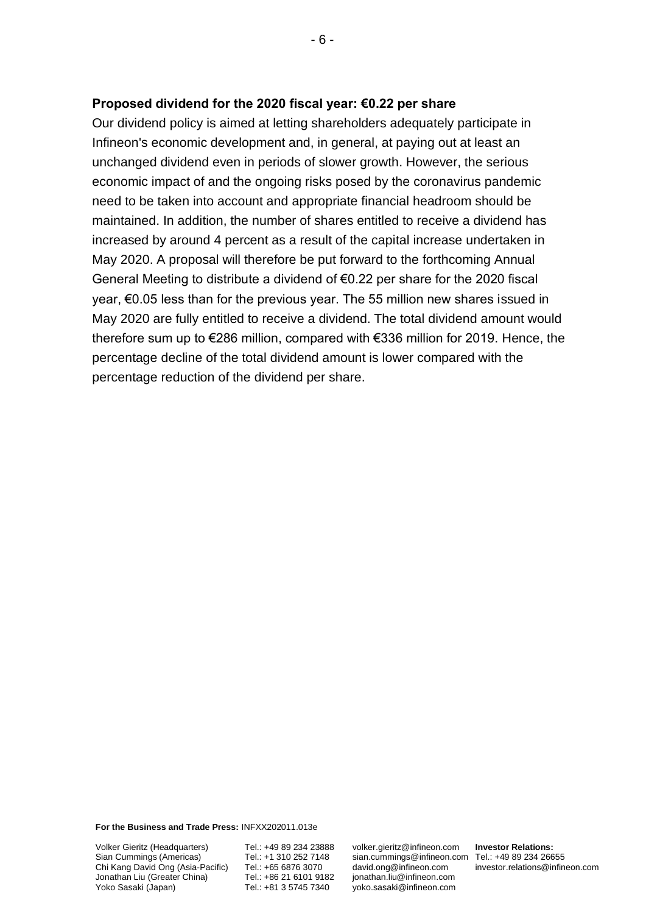### **Proposed dividend for the 2020 fiscal year: €0.22 per share**

Our dividend policy is aimed at letting shareholders adequately participate in Infineon's economic development and, in general, at paying out at least an unchanged dividend even in periods of slower growth. However, the serious economic impact of and the ongoing risks posed by the coronavirus pandemic need to be taken into account and appropriate financial headroom should be maintained. In addition, the number of shares entitled to receive a dividend has increased by around 4 percent as a result of the capital increase undertaken in May 2020. A proposal will therefore be put forward to the forthcoming Annual General Meeting to distribute a dividend of €0.22 per share for the 2020 fiscal year, €0.05 less than for the previous year. The 55 million new shares issued in May 2020 are fully entitled to receive a dividend. The total dividend amount would therefore sum up to €286 million, compared with €336 million for 2019. Hence, the percentage decline of the total dividend amount is lower compared with the percentage reduction of the dividend per share.

**For the Business and Trade Press:** INFXX202011.013e

Volker Gieritz (Headquarters) Sian Cummings (Americas) Chi Kang David Ong (Asia-Pacific) Jonathan Liu (Greater China) Yoko Sasaki (Japan)

Tel.: +49 89 234 23888 Tel.: +1 310 252 7148 Tel.: +65 6876 3070 Tel.: +86 21 6101 9182 Tel.: +81 3 5745 7340

volker.gieritz@infineon.com sian.cummings@infineon.com Tel.: +49 89 234 26655 [david.ong@infineon.com](mailto:%0ddavid.ong@infineon.com) jonathan.liu@infineon.com yoko.sasaki@infineon.com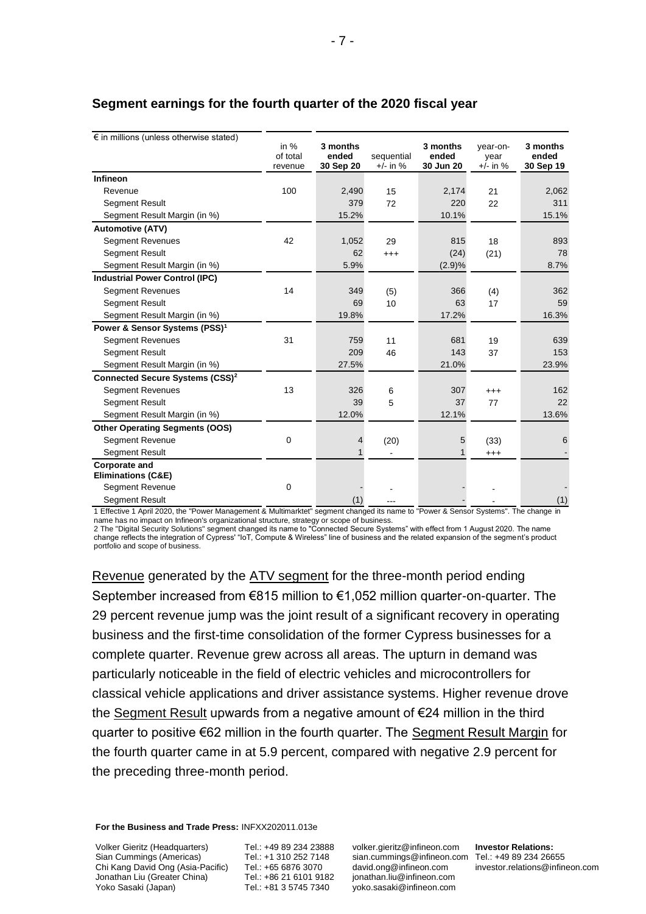| $\epsilon$ in millions (unless otherwise stated)      | in $%$<br>of total<br>revenue | 3 months<br>ended<br>30 Sep 20 | sequential<br>$+/-$ in % | 3 months<br>ended<br>30 Jun 20 | year-on-<br>year<br>$+/-$ in % | 3 months<br>ended<br>30 Sep 19 |
|-------------------------------------------------------|-------------------------------|--------------------------------|--------------------------|--------------------------------|--------------------------------|--------------------------------|
| Infineon                                              |                               |                                |                          |                                |                                |                                |
| Revenue                                               | 100                           | 2,490                          | 15                       | 2,174                          | 21                             | 2,062                          |
| <b>Segment Result</b>                                 |                               | 379                            | 72                       | 220                            | 22                             | 311                            |
| Segment Result Margin (in %)                          |                               | 15.2%                          |                          | 10.1%                          |                                | 15.1%                          |
| <b>Automotive (ATV)</b>                               |                               |                                |                          |                                |                                |                                |
| <b>Segment Revenues</b>                               | 42                            | 1,052                          | 29                       | 815                            | 18                             | 893                            |
| <b>Segment Result</b>                                 |                               | 62                             | $^{+++}$                 | (24)                           | (21)                           | 78                             |
| Segment Result Margin (in %)                          |                               | 5.9%                           |                          | (2.9)%                         |                                | 8.7%                           |
| <b>Industrial Power Control (IPC)</b>                 |                               |                                |                          |                                |                                |                                |
| <b>Segment Revenues</b>                               | 14                            | 349                            | (5)                      | 366                            | (4)                            | 362                            |
| <b>Segment Result</b>                                 |                               | 69                             | 10                       | 63                             | 17                             | 59                             |
| Segment Result Margin (in %)                          |                               | 19.8%                          |                          | 17.2%                          |                                | 16.3%                          |
| Power & Sensor Systems (PSS) <sup>1</sup>             |                               |                                |                          |                                |                                |                                |
| <b>Segment Revenues</b>                               | 31                            | 759                            | 11                       | 681                            | 19                             | 639                            |
| <b>Segment Result</b>                                 |                               | 209                            | 46                       | 143                            | 37                             | 153                            |
| Segment Result Margin (in %)                          |                               | 27.5%                          |                          | 21.0%                          |                                | 23.9%                          |
| Connected Secure Systems (CSS) <sup>2</sup>           |                               |                                |                          |                                |                                |                                |
| <b>Segment Revenues</b>                               | 13                            | 326                            | 6                        | 307                            | $^{+++}$                       | 162                            |
| <b>Segment Result</b>                                 |                               | 39                             | 5                        | 37                             | 77                             | 22                             |
| Segment Result Margin (in %)                          |                               | 12.0%                          |                          | 12.1%                          |                                | 13.6%                          |
| <b>Other Operating Segments (OOS)</b>                 |                               |                                |                          |                                |                                |                                |
| <b>Segment Revenue</b>                                | $\Omega$                      | 4                              | (20)                     | 5                              | (33)                           | 6                              |
| <b>Segment Result</b>                                 |                               | $\mathbf{1}$                   |                          | 1                              | $^{+++}$                       |                                |
| <b>Corporate and</b><br><b>Eliminations (C&amp;E)</b> |                               |                                |                          |                                |                                |                                |
| Segment Revenue                                       | $\mathbf 0$                   |                                |                          |                                |                                |                                |
| <b>Segment Result</b>                                 |                               | (1)                            |                          |                                |                                | (1)                            |
|                                                       |                               |                                |                          |                                |                                |                                |

## **Segment earnings for the fourth quarter of the 2020 fiscal year**

1 Effective 1 April 2020, the "Power Management & Multimarktet" segment changed its name to "Power & Sensor Systems". The change in name has no impact on Infineon's organizational structure, strategy or scope of business.

2 The "Digital Security Solutions" segment changed its name to "Connected Secure Systems" with effect from 1 August 2020. The name change reflects the integration of Cypress' "IoT, Compute & Wireless" line of business and the related expansion of the segment's product portfolio and scope of business.

Revenue generated by the ATV segment for the three-month period ending September increased from €815 million to €1,052 million quarter-on-quarter. The 29 percent revenue jump was the joint result of a significant recovery in operating business and the first-time consolidation of the former Cypress businesses for a complete quarter. Revenue grew across all areas. The upturn in demand was particularly noticeable in the field of electric vehicles and microcontrollers for classical vehicle applications and driver assistance systems. Higher revenue drove the Segment Result upwards from a negative amount of €24 million in the third quarter to positive €62 million in the fourth quarter. The Segment Result Margin for the fourth quarter came in at 5.9 percent, compared with negative 2.9 percent for the preceding three-month period.

**For the Business and Trade Press:** INFXX202011.013e

Volker Gieritz (Headquarters) Sian Cummings (Americas) Chi Kang David Ong (Asia-Pacific) Jonathan Liu (Greater China) Yoko Sasaki (Japan)

Tel.: +49 89 234 23888 Tel.: +1 310 252 7148 Tel.: +65 6876 3070 Tel.: +86 21 6101 9182 Tel.: +81 3 5745 7340

volker.gieritz@infineon.com sian.cummings@infineon.com Tel.: +49 89 234 26655 [david.ong@infineon.com](mailto:%0ddavid.ong@infineon.com) jonathan.liu@infineon.com yoko.sasaki@infineon.com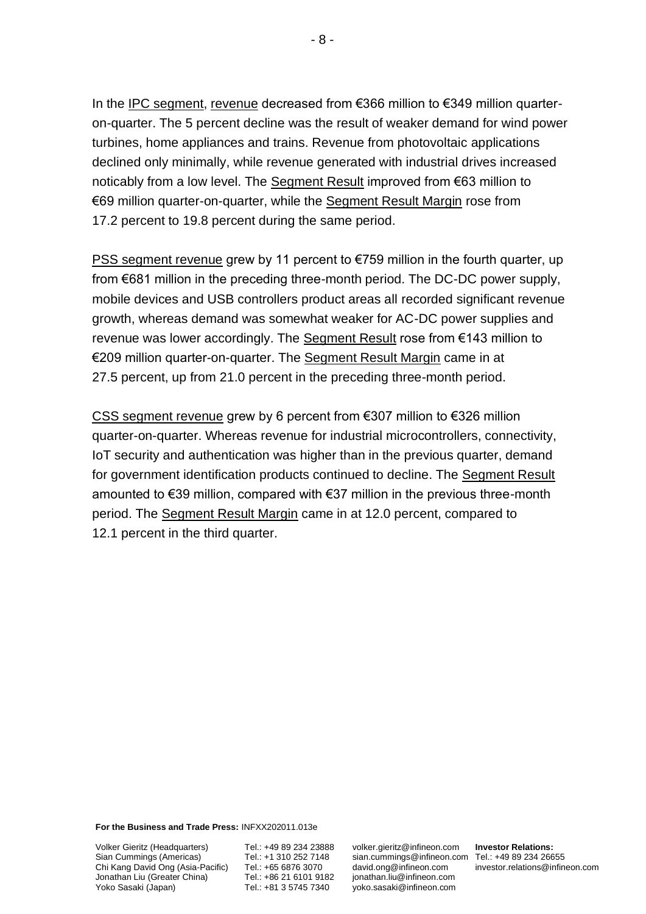In the IPC segment, revenue decreased from €366 million to €349 million quarteron-quarter. The 5 percent decline was the result of weaker demand for wind power turbines, home appliances and trains. Revenue from photovoltaic applications declined only minimally, while revenue generated with industrial drives increased noticably from a low level. The Segment Result improved from €63 million to €69 million quarter-on-quarter, while the Segment Result Margin rose from 17.2 percent to 19.8 percent during the same period.

PSS segment revenue grew by 11 percent to €759 million in the fourth quarter, up from €681 million in the preceding three-month period. The DC-DC power supply, mobile devices and USB controllers product areas all recorded significant revenue growth, whereas demand was somewhat weaker for AC-DC power supplies and revenue was lower accordingly. The Segment Result rose from €143 million to €209 million quarter-on-quarter. The Segment Result Margin came in at 27.5 percent, up from 21.0 percent in the preceding three-month period.

CSS segment revenue grew by 6 percent from €307 million to €326 million quarter-on-quarter. Whereas revenue for industrial microcontrollers, connectivity, IoT security and authentication was higher than in the previous quarter, demand for government identification products continued to decline. The Segment Result amounted to €39 million, compared with €37 million in the previous three-month period. The Segment Result Margin came in at 12.0 percent, compared to 12.1 percent in the third quarter.

**For the Business and Trade Press:** INFXX202011.013e

Volker Gieritz (Headquarters) Sian Cummings (Americas) Chi Kang David Ong (Asia-Pacific) Jonathan Liu (Greater China) Yoko Sasaki (Japan)

Tel.: +49 89 234 23888 Tel.: +1 310 252 7148 Tel.: +65 6876 3070 Tel.: +86 21 6101 9182 Tel.: +81 3 5745 7340

volker.gieritz@infineon.com sian.cummings@infineon.com Tel.: +49 89 234 26655 [david.ong@infineon.com](mailto:%0ddavid.ong@infineon.com) jonathan.liu@infineon.com yoko.sasaki@infineon.com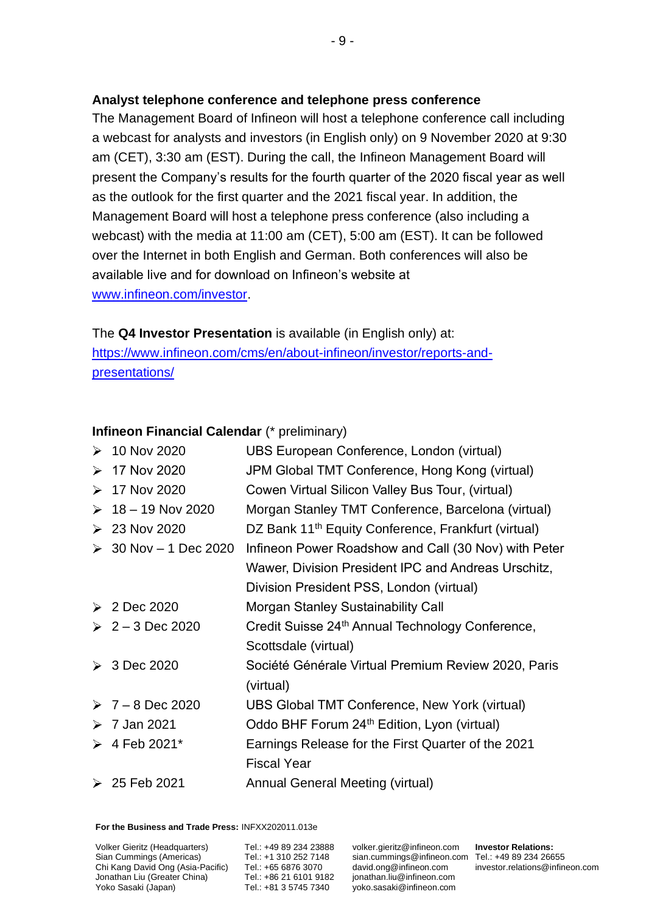## **Analyst telephone conference and telephone press conference**

The Management Board of Infineon will host a telephone conference call including a webcast for analysts and investors (in English only) on 9 November 2020 at 9:30 am (CET), 3:30 am (EST). During the call, the Infineon Management Board will present the Company's results for the fourth quarter of the 2020 fiscal year as well as the outlook for the first quarter and the 2021 fiscal year. In addition, the Management Board will host a telephone press conference (also including a webcast) with the media at 11:00 am (CET), 5:00 am (EST). It can be followed over the Internet in both English and German. Both conferences will also be available live and for download on Infineon's website at [www.infineon.com/investor.](http://www.infineon.com/investor)

The **Q4 Investor Presentation** is available (in English only) at: [https://www.infineon.com/cms/en/about-infineon/investor/reports-and](https://www.infineon.com/cms/en/about-infineon/investor/reports-and-presentations/)[presentations/](https://www.infineon.com/cms/en/about-infineon/investor/reports-and-presentations/)

## **Infineon Financial Calendar** (\* preliminary)

| $\geq 10$ Nov 2020      | UBS European Conference, London (virtual)                       |
|-------------------------|-----------------------------------------------------------------|
| $> 17$ Nov 2020         | JPM Global TMT Conference, Hong Kong (virtual)                  |
| $> 17$ Nov 2020         | Cowen Virtual Silicon Valley Bus Tour, (virtual)                |
| $\geq 18 - 19$ Nov 2020 | Morgan Stanley TMT Conference, Barcelona (virtual)              |
| $\geq 23$ Nov 2020      | DZ Bank 11 <sup>th</sup> Equity Conference, Frankfurt (virtual) |
| → 30 Nov – 1 Dec 2020   | Infineon Power Roadshow and Call (30 Nov) with Peter            |
|                         | Wawer, Division President IPC and Andreas Urschitz,             |
|                         | Division President PSS, London (virtual)                        |
| $\geqslant$ 2 Dec 2020  | Morgan Stanley Sustainability Call                              |
| $2 - 3$ Dec 2020        | Credit Suisse 24 <sup>th</sup> Annual Technology Conference,    |
|                         | Scottsdale (virtual)                                            |
| $\geq 3$ Dec 2020       | Société Générale Virtual Premium Review 2020, Paris             |
|                         | (virtual)                                                       |
| $> 7 - 8$ Dec 2020      | UBS Global TMT Conference, New York (virtual)                   |
| $\geq 7$ Jan 2021       | Oddo BHF Forum 24 <sup>th</sup> Edition, Lyon (virtual)         |
| $\geq 4$ Feb 2021*      | Earnings Release for the First Quarter of the 2021              |
|                         | <b>Fiscal Year</b>                                              |
| $\geq 25$ Feb 2021      | Annual General Meeting (virtual)                                |

**For the Business and Trade Press:** INFXX202011.013e

Volker Gieritz (Headquarters) Sian Cummings (Americas) Chi Kang David Ong (Asia-Pacific) Jonathan Liu (Greater China) Yoko Sasaki (Japan)

Tel.: +49 89 234 23888 Tel.: +1 310 252 7148 Tel.: +65 6876 3070 Tel.: +86 21 6101 9182 Tel.: +81 3 5745 7340

volker.gieritz@infineon.com sian.cummings@infineon.com Tel.: +49 89 234 26655 [david.ong@infineon.com](mailto:%0ddavid.ong@infineon.com) jonathan.liu@infineon.com yoko.sasaki@infineon.com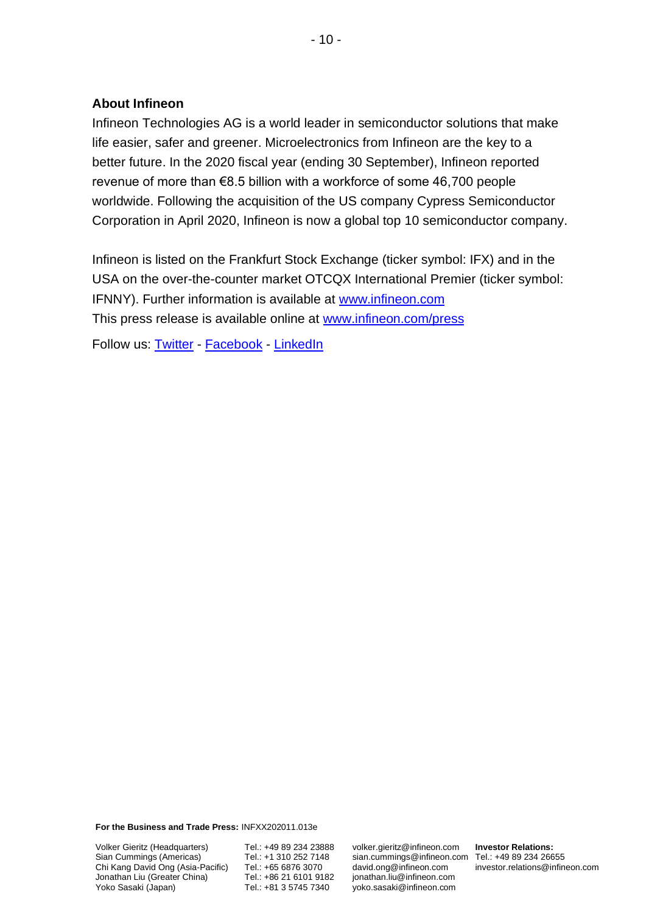## **About Infineon**

Infineon Technologies AG is a world leader in semiconductor solutions that make life easier, safer and greener. Microelectronics from Infineon are the key to a better future. In the 2020 fiscal year (ending 30 September), Infineon reported revenue of more than €8.5 billion with a workforce of some 46,700 people worldwide. Following the acquisition of the US company Cypress Semiconductor Corporation in April 2020, Infineon is now a global top 10 semiconductor company.

Infineon is listed on the Frankfurt Stock Exchange (ticker symbol: IFX) and in the USA on the over-the-counter market OTCQX International Premier (ticker symbol: IFNNY). Further information is available at [www.infineon.com](http://www.infineon.com/) This press release is available online at [www.infineon.com/press](http://www.infineon.com/press)

Follow us: [Twitter](https://twitter.com/Infineon) - [Facebook](https://www.facebook.com/Infineon) - [LinkedIn](https://www.linkedin.com/company-beta/2148/)

**For the Business and Trade Press:** INFXX202011.013e

Volker Gieritz (Headquarters) Sian Cummings (Americas) Chi Kang David Ong (Asia-Pacific) Jonathan Liu (Greater China) Yoko Sasaki (Japan)

Tel.: +49 89 234 23888 Tel.: +1 310 252 7148 Tel.: +65 6876 3070 Tel.: +86 21 6101 9182 Tel.: +81 3 5745 7340

volker.gieritz@infineon.com sian.cummings@infineon.com Tel.: +49 89 234 26655 [david.ong@infineon.com](mailto:%0ddavid.ong@infineon.com) jonathan.liu@infineon.com yoko.sasaki@infineon.com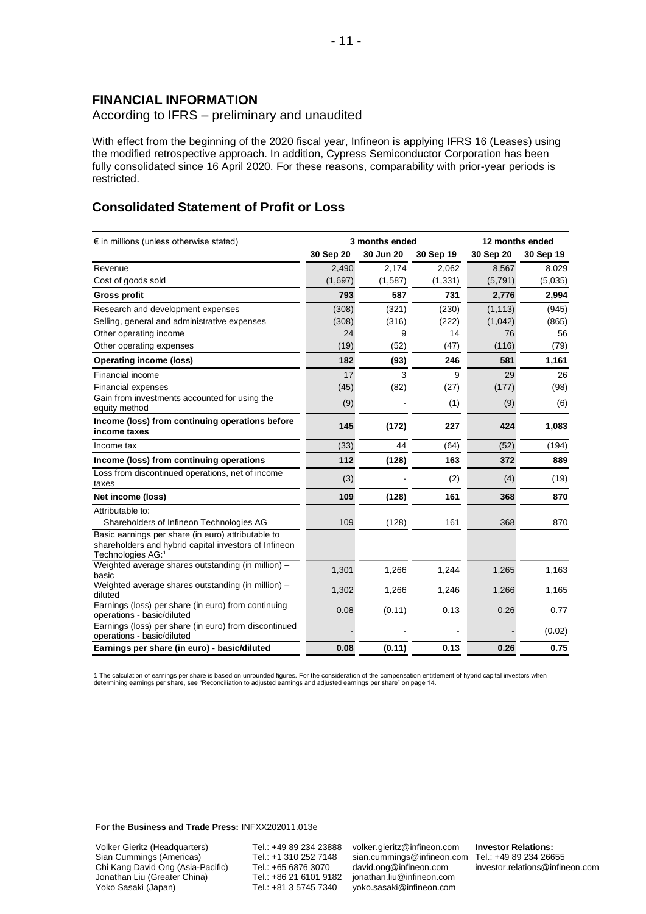### **FINANCIAL INFORMATION**

According to IFRS – preliminary and unaudited

With effect from the beginning of the 2020 fiscal year, Infineon is applying IFRS 16 (Leases) using the modified retrospective approach. In addition, Cypress Semiconductor Corporation has been fully consolidated since 16 April 2020. For these reasons, comparability with prior-year periods is restricted.

### **Consolidated Statement of Profit or Loss**

| $\epsilon$ in millions (unless otherwise stated)                                                                                 |           | 3 months ended | 12 months ended |           |           |
|----------------------------------------------------------------------------------------------------------------------------------|-----------|----------------|-----------------|-----------|-----------|
|                                                                                                                                  | 30 Sep 20 | 30 Jun 20      | 30 Sep 19       | 30 Sep 20 | 30 Sep 19 |
| Revenue                                                                                                                          | 2,490     | 2,174          | 2,062           | 8,567     | 8,029     |
| Cost of goods sold                                                                                                               | (1,697)   | (1,587)        | (1, 331)        | (5,791)   | (5,035)   |
| <b>Gross profit</b>                                                                                                              | 793       | 587            | 731             | 2,776     | 2,994     |
| Research and development expenses                                                                                                | (308)     | (321)          | (230)           | (1, 113)  | (945)     |
| Selling, general and administrative expenses                                                                                     | (308)     | (316)          | (222)           | (1,042)   | (865)     |
| Other operating income                                                                                                           | 24        | 9              | 14              | 76        | 56        |
| Other operating expenses                                                                                                         | (19)      | (52)           | (47)            | (116)     | (79)      |
| <b>Operating income (loss)</b>                                                                                                   | 182       | (93)           | 246             | 581       | 1,161     |
| Financial income                                                                                                                 | 17        | 3              | 9               | 29        | 26        |
| <b>Financial expenses</b>                                                                                                        | (45)      | (82)           | (27)            | (177)     | (98)      |
| Gain from investments accounted for using the<br>equity method                                                                   | (9)       |                | (1)             | (9)       | (6)       |
| Income (loss) from continuing operations before<br>income taxes                                                                  | 145       | (172)          | 227             | 424       | 1,083     |
| Income tax                                                                                                                       | (33)      | 44             | (64)            | (52)      | (194)     |
| Income (loss) from continuing operations                                                                                         | 112       | (128)          | 163             | 372       | 889       |
| Loss from discontinued operations, net of income<br>taxes                                                                        | (3)       |                | (2)             | (4)       | (19)      |
| Net income (loss)                                                                                                                | 109       | (128)          | 161             | 368       | 870       |
| Attributable to:                                                                                                                 |           |                |                 |           |           |
| Shareholders of Infineon Technologies AG                                                                                         | 109       | (128)          | 161             | 368       | 870       |
| Basic earnings per share (in euro) attributable to<br>shareholders and hybrid capital investors of Infineon<br>Technologies AG:1 |           |                |                 |           |           |
| Weighted average shares outstanding (in million) -<br>basic                                                                      | 1,301     | 1,266          | 1,244           | 1,265     | 1,163     |
| Weighted average shares outstanding (in million) -<br>diluted                                                                    | 1,302     | 1,266          | 1,246           | 1,266     | 1,165     |
| Earnings (loss) per share (in euro) from continuing<br>operations - basic/diluted                                                | 0.08      | (0.11)         | 0.13            | 0.26      | 0.77      |
| Earnings (loss) per share (in euro) from discontinued<br>operations - basic/diluted                                              |           |                |                 |           | (0.02)    |
| Earnings per share (in euro) - basic/diluted                                                                                     | 0.08      | (0.11)         | 0.13            | 0.26      | 0.75      |

1 The calculation of earnings per share is based on unrounded figures. For the consideration of the compensation entitlement of hybrid capital investors when<br>determining earnings per share, see "Reconciliation to adjusted

**For the Business and Trade Press:** INFXX202011.013e

Volker Gieritz (Headquarters) Sian Cummings (Americas) Chi Kang David Ong (Asia-Pacific) Jonathan Liu (Greater China) Yoko Sasaki (Japan)

Tel.: +49 89 234 23888 Tel.: +1 310 252 7148 Tel.: +65 6876 3070 Tel.: +86 21 6101 9182 Tel.: +81 3 5745 7340

volker.gieritz@infineon.com sian.cummings@infineon.com Tel.: +49 89 234 26655 [david.ong@infineon.com](mailto:%0ddavid.ong@infineon.com) jonathan.liu@infineon.com yoko.sasaki@infineon.com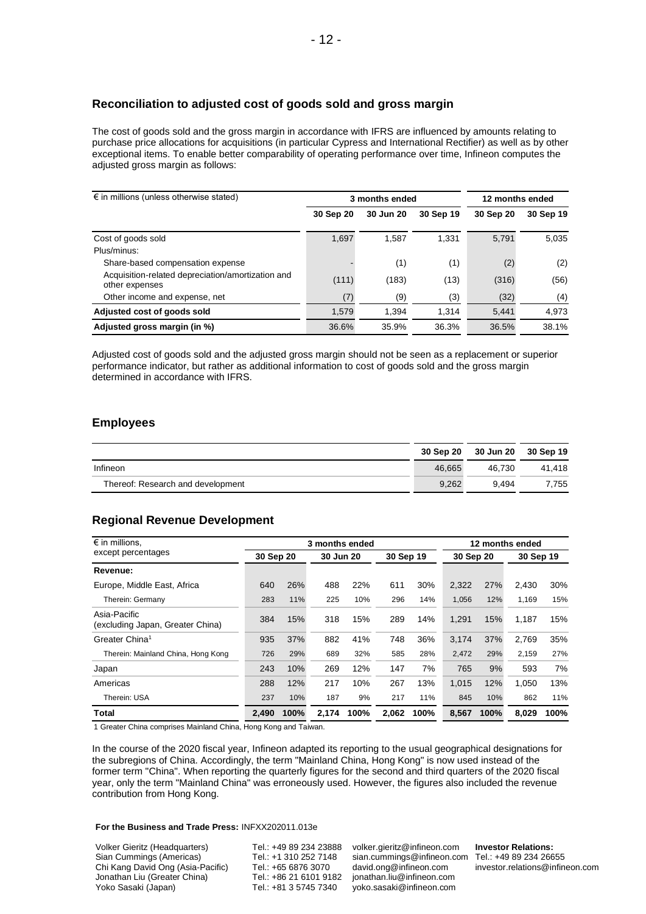### **Reconciliation to adjusted cost of goods sold and gross margin**

The cost of goods sold and the gross margin in accordance with IFRS are influenced by amounts relating to purchase price allocations for acquisitions (in particular Cypress and International Rectifier) as well as by other exceptional items. To enable better comparability of operating performance over time, Infineon computes the adjusted gross margin as follows:

| $\epsilon$ in millions (unless otherwise stated)                    |           | 3 months ended | 12 months ended |           |           |
|---------------------------------------------------------------------|-----------|----------------|-----------------|-----------|-----------|
|                                                                     | 30 Sep 20 | 30 Jun 20      | 30 Sep 19       | 30 Sep 20 | 30 Sep 19 |
| Cost of goods sold                                                  | 1,697     | 1,587          | 1.331           | 5.791     | 5.035     |
| Plus/minus:                                                         |           |                |                 |           |           |
| Share-based compensation expense                                    |           | (1)            | (1)             | (2)       | (2)       |
| Acquisition-related depreciation/amortization and<br>other expenses | (111)     | (183)          | (13)            | (316)     | (56)      |
| Other income and expense, net                                       | (7)       | (9)            | (3)             | (32)      | (4)       |
| Adjusted cost of goods sold                                         | 1,579     | 1.394          | 1.314           | 5.441     | 4,973     |
| Adjusted gross margin (in %)                                        | 36.6%     | 35.9%          | 36.3%           | 36.5%     | 38.1%     |

Adjusted cost of goods sold and the adjusted gross margin should not be seen as a replacement or superior performance indicator, but rather as additional information to cost of goods sold and the gross margin determined in accordance with IFRS.

### **Employees**

|                                   |        | 30 Sep 20 30 Jun 20 30 Sep 19 |        |
|-----------------------------------|--------|-------------------------------|--------|
| Infineon                          | 46.665 | 46.730                        | 41.418 |
| Thereof: Research and development | 9.262  | 9.494                         | 7.755  |

### **Regional Revenue Development**

| $\epsilon$ in millions,                          |                                     | 3 months ended |       |           |       |           | 12 months ended |      |       |      |
|--------------------------------------------------|-------------------------------------|----------------|-------|-----------|-------|-----------|-----------------|------|-------|------|
| except percentages                               | 30 Sep 19<br>30 Sep 20<br>30 Jun 20 |                |       | 30 Sep 20 |       | 30 Sep 19 |                 |      |       |      |
| Revenue:                                         |                                     |                |       |           |       |           |                 |      |       |      |
| Europe, Middle East, Africa                      | 640                                 | 26%            | 488   | 22%       | 611   | 30%       | 2,322           | 27%  | 2,430 | 30%  |
| Therein: Germany                                 | 283                                 | 11%            | 225   | 10%       | 296   | 14%       | 1,056           | 12%  | 1,169 | 15%  |
| Asia-Pacific<br>(excluding Japan, Greater China) | 384                                 | 15%            | 318   | 15%       | 289   | 14%       | 1.291           | 15%  | 1,187 | 15%  |
| Greater China <sup>1</sup>                       | 935                                 | 37%            | 882   | 41%       | 748   | 36%       | 3,174           | 37%  | 2,769 | 35%  |
| Therein: Mainland China, Hong Kong               | 726                                 | 29%            | 689   | 32%       | 585   | 28%       | 2.472           | 29%  | 2.159 | 27%  |
| Japan                                            | 243                                 | 10%            | 269   | 12%       | 147   | 7%        | 765             | 9%   | 593   | 7%   |
| Americas                                         | 288                                 | 12%            | 217   | 10%       | 267   | 13%       | 1,015           | 12%  | 1.050 | 13%  |
| Therein: USA                                     | 237                                 | 10%            | 187   | 9%        | 217   | 11%       | 845             | 10%  | 862   | 11%  |
| Total                                            | 2.490                               | 100%           | 2.174 | 100%      | 2,062 | 100%      | 8.567           | 100% | 8.029 | 100% |

1 Greater China comprises Mainland China, Hong Kong and Taiwan.

In the course of the 2020 fiscal year, Infineon adapted its reporting to the usual geographical designations for the subregions of China. Accordingly, the term "Mainland China, Hong Kong" is now used instead of the former term "China". When reporting the quarterly figures for the second and third quarters of the 2020 fiscal year, only the term "Mainland China" was erroneously used. However, the figures also included the revenue contribution from Hong Kong.

#### **For the Business and Trade Press:** INFXX202011.013e

Volker Gieritz (Headquarters) Sian Cummings (Americas) Chi Kang David Ong (Asia-Pacific) Jonathan Liu (Greater China) Yoko Sasaki (Japan)

Tel.: +49 89 234 23888 Tel.: +1 310 252 7148 Tel.: +65 6876 3070 Tel.: +86 21 6101 9182 Tel.: +81 3 5745 7340

volker.gieritz@infineon.com sian.cummings@infineon.com Tel.: +49 89 234 26655 [david.ong@infineon.com](mailto:%0ddavid.ong@infineon.com) jonathan.liu@infineon.com yoko.sasaki@infineon.com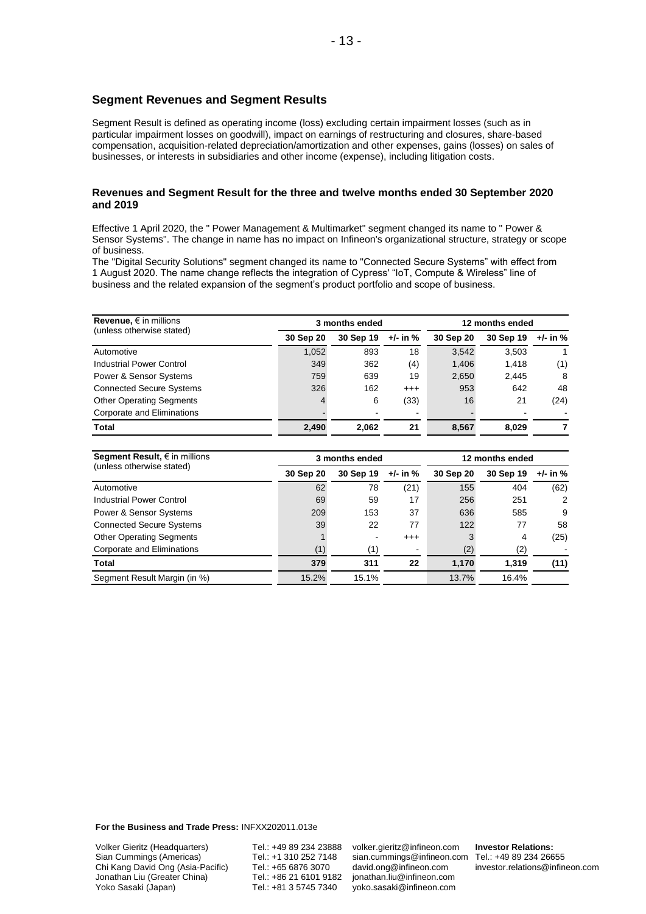#### **Segment Revenues and Segment Results**

Segment Result is defined as operating income (loss) excluding certain impairment losses (such as in particular impairment losses on goodwill), impact on earnings of restructuring and closures, share-based compensation, acquisition-related depreciation/amortization and other expenses, gains (losses) on sales of businesses, or interests in subsidiaries and other income (expense), including litigation costs.

#### **Revenues and Segment Result for the three and twelve months ended 30 September 2020 and 2019**

Effective 1 April 2020, the " Power Management & Multimarket" segment changed its name to " Power & Sensor Systems". The change in name has no impact on Infineon's organizational structure, strategy or scope of business.

The "Digital Security Solutions" segment changed its name to "Connected Secure Systems" with effect from 1 August 2020. The name change reflects the integration of Cypress' "IoT, Compute & Wireless" line of business and the related expansion of the segment's product portfolio and scope of business.

| Revenue, $\epsilon$ in millions |           | 3 months ended |          | 12 months ended |           |          |  |
|---------------------------------|-----------|----------------|----------|-----------------|-----------|----------|--|
| (unless otherwise stated)       | 30 Sep 20 | 30 Sep 19      | +/- in % | 30 Sep 20       | 30 Sep 19 | +/- in % |  |
| Automotive                      | 1,052     | 893            | 18       | 3,542           | 3,503     |          |  |
| Industrial Power Control        | 349       | 362            | (4)      | 1,406           | 1.418     | (1)      |  |
| Power & Sensor Systems          | 759       | 639            | 19       | 2,650           | 2.445     | 8        |  |
| <b>Connected Secure Systems</b> | 326       | 162            | $^{++}$  | 953             | 642       | 48       |  |
| <b>Other Operating Segments</b> | 4         | 6              | (33)     | 16              | 21        | (24)     |  |
| Corporate and Eliminations      |           |                |          |                 |           |          |  |
| <b>Total</b>                    | 2,490     | 2.062          | 21       | 8.567           | 8.029     |          |  |

| Segment Result, $\epsilon$ in millions |           | 3 months ended |              | 12 months ended |           |          |  |
|----------------------------------------|-----------|----------------|--------------|-----------------|-----------|----------|--|
| (unless otherwise stated)              | 30 Sep 20 | 30 Sep 19      | $+/-$ in $%$ | 30 Sep 20       | 30 Sep 19 | +/- in % |  |
| Automotive                             | 62        | 78             | (21)         | 155             | 404       | (62)     |  |
| Industrial Power Control               | 69        | 59             | 17           | 256             | 251       | 2        |  |
| Power & Sensor Systems                 | 209       | 153            | 37           | 636             | 585       | 9        |  |
| <b>Connected Secure Systems</b>        | 39        | 22             | 77           | 122             | 77        | 58       |  |
| <b>Other Operating Segments</b>        |           | -              | $^{+++}$     |                 | 4         | (25)     |  |
| Corporate and Eliminations             | (1)       | (1)            |              | (2)             | (2)       |          |  |
| Total                                  | 379       | 311            | 22           | 1,170           | 1,319     | (11)     |  |
| Segment Result Margin (in %)           | 15.2%     | 15.1%          |              | 13.7%           | 16.4%     |          |  |

**For the Business and Trade Press:** INFXX202011.013e

Volker Gieritz (Headquarters) Sian Cummings (Americas) Chi Kang David Ong (Asia-Pacific) Jonathan Liu (Greater China) Yoko Sasaki (Japan)

Tel.: +49 89 234 23888 Tel.: +1 310 252 7148 Tel.: +65 6876 3070 Tel.: +86 21 6101 9182 Tel.: +81 3 5745 7340

volker.gieritz@infineon.com sian.cummings@infineon.com Tel.: +49 89 234 26655 [david.ong@infineon.com](mailto:%0ddavid.ong@infineon.com) jonathan.liu@infineon.com yoko.sasaki@infineon.com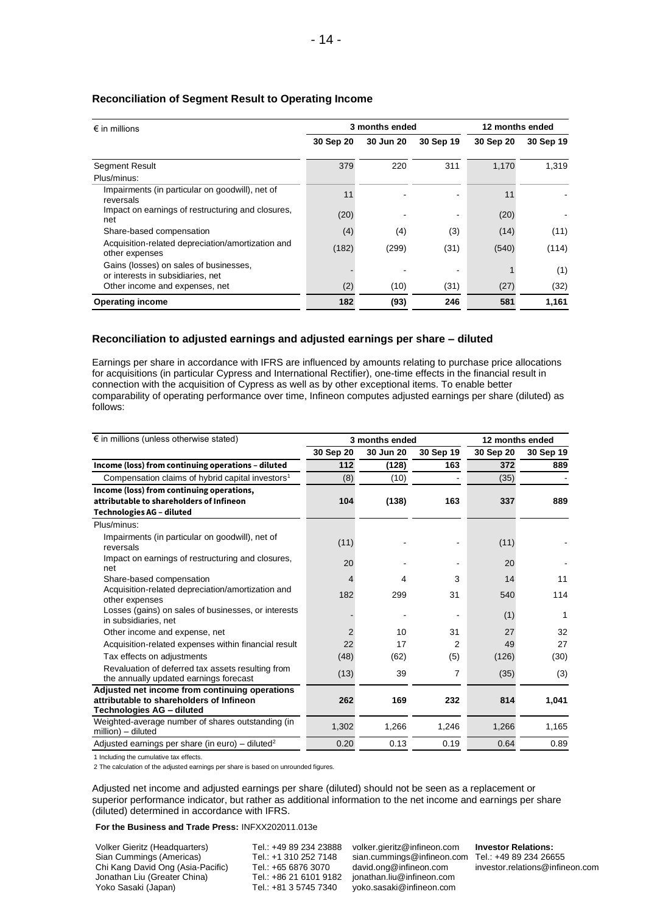| $\epsilon$ in millions                                                      |           | 3 months ended | 12 months ended |           |           |
|-----------------------------------------------------------------------------|-----------|----------------|-----------------|-----------|-----------|
|                                                                             | 30 Sep 20 | 30 Jun 20      | 30 Sep 19       | 30 Sep 20 | 30 Sep 19 |
| <b>Segment Result</b>                                                       | 379       | 220            | 311             | 1,170     | 1,319     |
| Plus/minus:                                                                 |           |                |                 |           |           |
| Impairments (in particular on goodwill), net of<br>reversals                | 11        |                |                 | 11        |           |
| Impact on earnings of restructuring and closures,<br>net                    | (20)      |                |                 | (20)      |           |
| Share-based compensation                                                    | (4)       | (4)            | (3)             | (14)      | (11)      |
| Acquisition-related depreciation/amortization and<br>other expenses         | (182)     | (299)          | (31)            | (540)     | (114)     |
| Gains (losses) on sales of businesses,<br>or interests in subsidiaries, net |           |                |                 |           | (1)       |
| Other income and expenses, net                                              | (2)       | (10)           | (31)            | (27)      | (32)      |
| <b>Operating income</b>                                                     | 182       | (93)           | 246             | 581       | 1,161     |

#### **Reconciliation of Segment Result to Operating Income**

#### **Reconciliation to adjusted earnings and adjusted earnings per share – diluted**

Earnings per share in accordance with IFRS are influenced by amounts relating to purchase price allocations for acquisitions (in particular Cypress and International Rectifier), one-time effects in the financial result in connection with the acquisition of Cypress as well as by other exceptional items. To enable better comparability of operating performance over time, Infineon computes adjusted earnings per share (diluted) as follows:

| $\epsilon$ in millions (unless otherwise stated)                                                                          |                | 3 months ended |           | 12 months ended |           |  |
|---------------------------------------------------------------------------------------------------------------------------|----------------|----------------|-----------|-----------------|-----------|--|
|                                                                                                                           | 30 Sep 20      | 30 Jun 20      | 30 Sep 19 | 30 Sep 20       | 30 Sep 19 |  |
| Income (loss) from continuing operations - diluted                                                                        | 112            | (128)          | 163       | 372             | 889       |  |
| Compensation claims of hybrid capital investors <sup>1</sup>                                                              | (8)            | (10)           |           | (35)            |           |  |
| Income (loss) from continuing operations,<br>attributable to shareholders of Infineon<br><b>Technologies AG - diluted</b> | 104            | (138)          | 163       | 337             | 889       |  |
| Plus/minus:                                                                                                               |                |                |           |                 |           |  |
| Impairments (in particular on goodwill), net of<br>reversals                                                              | (11)           |                |           | (11)            |           |  |
| Impact on earnings of restructuring and closures,<br>net                                                                  | 20             |                |           | 20              |           |  |
| Share-based compensation                                                                                                  | 4              | 4              | 3         | 14              | 11        |  |
| Acquisition-related depreciation/amortization and<br>other expenses                                                       | 182            | 299            | 31        | 540             | 114       |  |
| Losses (gains) on sales of businesses, or interests<br>in subsidiaries, net                                               |                |                |           | (1)             | 1         |  |
| Other income and expense, net                                                                                             | $\overline{2}$ | 10             | 31        | 27              | 32        |  |
| Acquisition-related expenses within financial result                                                                      | 22             | 17             | 2         | 49              | 27        |  |
| Tax effects on adjustments                                                                                                | (48)           | (62)           | (5)       | (126)           | (30)      |  |
| Revaluation of deferred tax assets resulting from<br>the annually updated earnings forecast                               | (13)           | 39             | 7         | (35)            | (3)       |  |
| Adjusted net income from continuing operations<br>attributable to shareholders of Infineon<br>Technologies AG - diluted   | 262            | 169            | 232       | 814             | 1,041     |  |
| Weighted-average number of shares outstanding (in<br>million) - diluted                                                   | 1,302          | 1,266          | 1,246     | 1,266           | 1,165     |  |
| Adjusted earnings per share (in euro) – diluted <sup>2</sup>                                                              | 0.20           | 0.13           | 0.19      | 0.64            | 0.89      |  |

1 Including the cumulative tax effects.

2 The calculation of the adjusted earnings per share is based on unrounded figures.

Adjusted net income and adjusted earnings per share (diluted) should not be seen as a replacement or superior performance indicator, but rather as additional information to the net income and earnings per share (diluted) determined in accordance with IFRS.

#### **For the Business and Trade Press:** INFXX202011.013e

Volker Gieritz (Headquarters) Sian Cummings (Americas) Chi Kang David Ong (Asia-Pacific) Jonathan Liu (Greater China) Yoko Sasaki (Japan)

Tel.: +49 89 234 23888 Tel.: +1 310 252 7148 Tel.: +65 6876 3070 Tel.: +86 21 6101 9182 Tel.: +81 3 5745 7340

volker.gieritz@infineon.com sian.cummings@infineon.com Tel.: +49 89 234 26655 [david.ong@infineon.com](mailto:%0ddavid.ong@infineon.com) jonathan.liu@infineon.com yoko.sasaki@infineon.com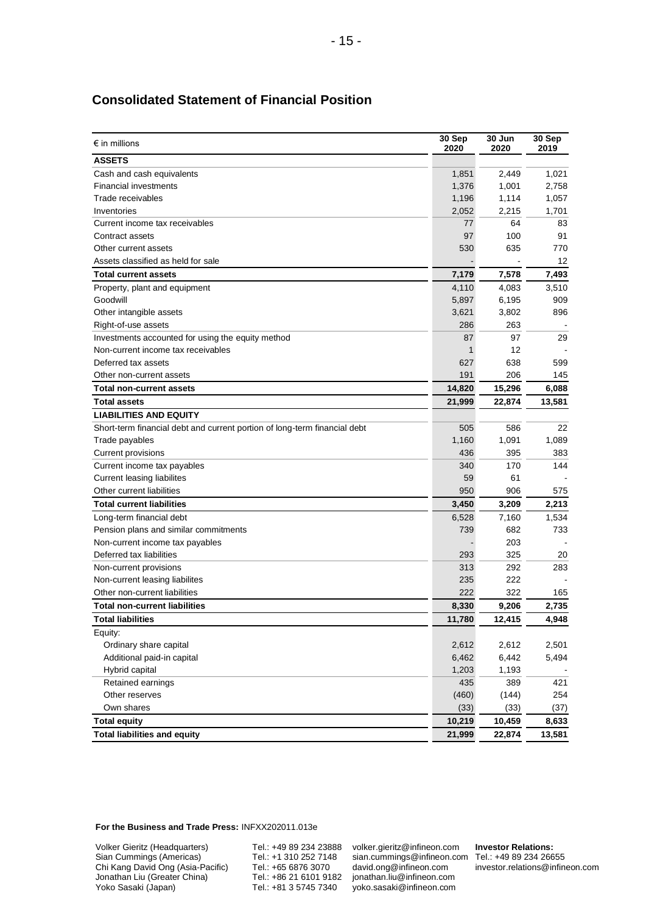| $\epsilon$ in millions                                                    | 30 Sep<br>2020 | 30 Jun<br>2020 | 30 Sep<br>2019 |
|---------------------------------------------------------------------------|----------------|----------------|----------------|
| <b>ASSETS</b>                                                             |                |                |                |
| Cash and cash equivalents                                                 | 1,851          | 2,449          | 1,021          |
| <b>Financial investments</b>                                              | 1,376          | 1,001          | 2,758          |
| Trade receivables                                                         | 1,196          | 1,114          | 1,057          |
| Inventories                                                               | 2,052          | 2,215          | 1,701          |
| Current income tax receivables                                            | 77             | 64             | 83             |
| Contract assets                                                           | 97             | 100            | 91             |
| Other current assets                                                      | 530            | 635            | 770            |
| Assets classified as held for sale                                        |                |                | 12             |
| <b>Total current assets</b>                                               | 7,179          | 7,578          | 7,493          |
| Property, plant and equipment                                             | 4,110          | 4,083          | 3,510          |
| Goodwill                                                                  | 5,897          | 6,195          | 909            |
| Other intangible assets                                                   | 3,621          | 3,802          | 896            |
| Right-of-use assets                                                       | 286            | 263            |                |
| Investments accounted for using the equity method                         | 87             | 97             | 29             |
| Non-current income tax receivables                                        | 1              | 12             |                |
| Deferred tax assets                                                       | 627            | 638            | 599            |
| Other non-current assets                                                  | 191            | 206            | 145            |
| <b>Total non-current assets</b>                                           | 14,820         | 15,296         | 6,088          |
| <b>Total assets</b>                                                       | 21,999         | 22,874         | 13,581         |
| <b>LIABILITIES AND EQUITY</b>                                             |                |                |                |
| Short-term financial debt and current portion of long-term financial debt | 505            | 586            | 22             |
| Trade payables                                                            | 1,160          | 1,091          | 1,089          |
| Current provisions                                                        | 436            | 395            | 383            |
| Current income tax payables                                               | 340            | 170            | 144            |
| Current leasing liabilites                                                | 59             | 61             |                |
| Other current liabilities                                                 | 950            | 906            | 575            |
| <b>Total current liabilities</b>                                          | 3,450          | 3,209          | 2,213          |
| Long-term financial debt                                                  | 6,528          | 7,160          | 1,534          |
| Pension plans and similar commitments                                     | 739            | 682            | 733            |
| Non-current income tax payables                                           |                | 203            |                |
| Deferred tax liabilities                                                  | 293            | 325            | 20             |
| Non-current provisions                                                    | 313            | 292            | 283            |
| Non-current leasing liabilites                                            | 235            | 222            |                |
| Other non-current liabilities                                             | 222            | 322            | 165            |
| <b>Total non-current liabilities</b>                                      | 8,330          | 9,206          | 2,735          |
| <b>Total liabilities</b>                                                  | 11,780         | 12,415         | 4,948          |
| Equity:                                                                   |                |                |                |
| Ordinary share capital                                                    | 2,612          | 2,612          | 2,501          |
| Additional paid-in capital                                                | 6,462          | 6,442          | 5,494          |
| Hybrid capital                                                            | 1,203          | 1,193          |                |
| Retained earnings                                                         | 435            | 389            | 421            |
| Other reserves<br>Own shares                                              | (460)          | (144)          | 254            |
|                                                                           | (33)           | (33)           | (37)           |
| <b>Total equity</b>                                                       | 10,219         | 10,459         | 8,633          |
| <b>Total liabilities and equity</b>                                       | 21,999         | 22,874         | 13,581         |

## **Consolidated Statement of Financial Position**

**For the Business and Trade Press:** INFXX202011.013e

Volker Gieritz (Headquarters) Sian Cummings (Americas) Chi Kang David Ong (Asia-Pacific) Jonathan Liu (Greater China) Yoko Sasaki (Japan)

Tel.: +49 89 234 23888 Tel.: +1 310 252 7148 Tel.: +65 6876 3070 Tel.: +86 21 6101 9182 Tel.: +81 3 5745 7340

volker.gieritz@infineon.com sian.cummings@infineon.com [david.ong@infineon.com](mailto:%0ddavid.ong@infineon.com) jonathan.liu@infineon.com yoko.sasaki@infineon.com

**Investor Relations:** Tel.: +49 89 234 26655 investor.relations@infineon.com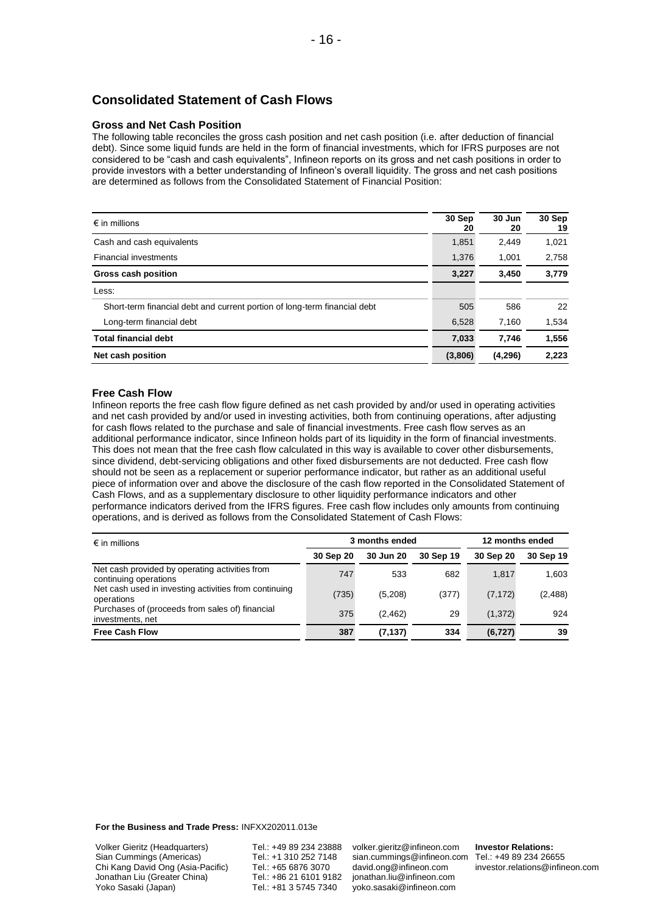## **Consolidated Statement of Cash Flows**

#### **Gross and Net Cash Position**

The following table reconciles the gross cash position and net cash position (i.e. after deduction of financial debt). Since some liquid funds are held in the form of financial investments, which for IFRS purposes are not considered to be "cash and cash equivalents", Infineon reports on its gross and net cash positions in order to provide investors with a better understanding of Infineon's overall liquidity. The gross and net cash positions are determined as follows from the Consolidated Statement of Financial Position:

| $\epsilon$ in millions                                                    | 30 Sep<br>20 | 30 Jun<br>20 | 30 Sep<br>19 |
|---------------------------------------------------------------------------|--------------|--------------|--------------|
| Cash and cash equivalents                                                 | 1,851        | 2.449        | 1,021        |
| <b>Financial investments</b>                                              | 1,376        | 1,001        | 2,758        |
| Gross cash position                                                       | 3,227        | 3,450        | 3,779        |
| Less:                                                                     |              |              |              |
| Short-term financial debt and current portion of long-term financial debt | 505          | 586          | 22           |
| Long-term financial debt                                                  | 6.528        | 7.160        | 1,534        |
| <b>Total financial debt</b>                                               | 7.033        | 7.746        | 1,556        |
| Net cash position                                                         | (3,806)      | (4,296)      | 2.223        |

#### **Free Cash Flow**

Infineon reports the free cash flow figure defined as net cash provided by and/or used in operating activities and net cash provided by and/or used in investing activities, both from continuing operations, after adjusting for cash flows related to the purchase and sale of financial investments. Free cash flow serves as an additional performance indicator, since Infineon holds part of its liquidity in the form of financial investments. This does not mean that the free cash flow calculated in this way is available to cover other disbursements, since dividend, debt-servicing obligations and other fixed disbursements are not deducted. Free cash flow should not be seen as a replacement or superior performance indicator, but rather as an additional useful piece of information over and above the disclosure of the cash flow reported in the Consolidated Statement of Cash Flows, and as a supplementary disclosure to other liquidity performance indicators and other performance indicators derived from the IFRS figures. Free cash flow includes only amounts from continuing operations, and is derived as follows from the Consolidated Statement of Cash Flows:

| $\epsilon$ in millions                                                  | 3 months ended |           |           | 12 months ended |           |  |
|-------------------------------------------------------------------------|----------------|-----------|-----------|-----------------|-----------|--|
|                                                                         | 30 Sep 20      | 30 Jun 20 | 30 Sep 19 | 30 Sep 20       | 30 Sep 19 |  |
| Net cash provided by operating activities from<br>continuing operations | 747            | 533       | 682       | 1.817           | 1,603     |  |
| Net cash used in investing activities from continuing<br>operations     | (735)          | (5,208)   | (377)     | (7, 172)        | (2, 488)  |  |
| Purchases of (proceeds from sales of) financial<br>investments, net     | 375            | (2, 462)  | 29        | (1,372)         | 924       |  |
| <b>Free Cash Flow</b>                                                   | 387            | (7.137)   | 334       | (6, 727)        | 39        |  |

**For the Business and Trade Press:** INFXX202011.013e

Volker Gieritz (Headquarters) Sian Cummings (Americas) Chi Kang David Ong (Asia-Pacific) Jonathan Liu (Greater China) Yoko Sasaki (Japan)

Tel.: +49 89 234 23888 Tel.: +1 310 252 7148 Tel.: +65 6876 3070 Tel.: +86 21 6101 9182 Tel.: +81 3 5745 7340

volker.gieritz@infineon.com sian.cummings@infineon.com [david.ong@infineon.com](mailto:%0ddavid.ong@infineon.com) jonathan.liu@infineon.com yoko.sasaki@infineon.com

**Investor Relations:** Tel.: +49 89 234 26655 investor.relations@infineon.com